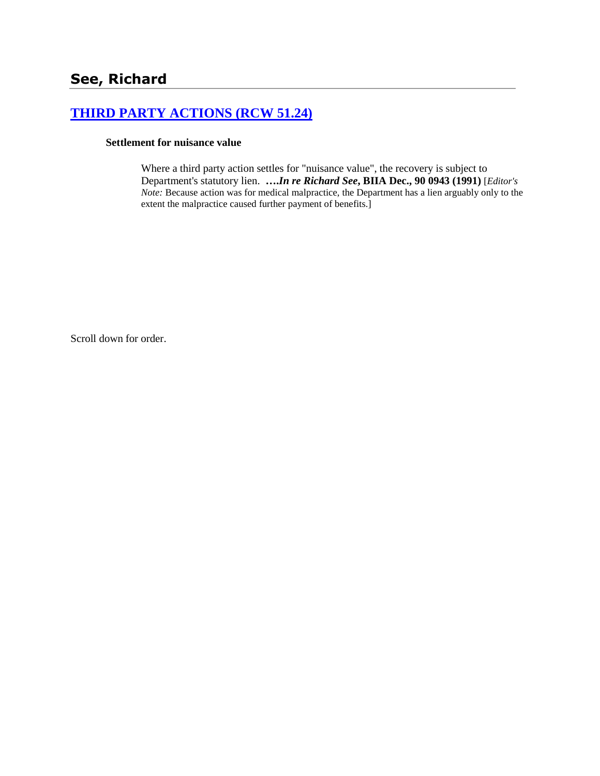## **[THIRD PARTY ACTIONS \(RCW 51.24\)](http://www.biia.wa.gov/SDSubjectIndex.html#THIRD_PARTY_ACTIONS)**

## **Settlement for nuisance value**

Where a third party action settles for "nuisance value", the recovery is subject to Department's statutory lien. **….***In re Richard See***, BIIA Dec., 90 0943 (1991)** [*Editor's Note:* Because action was for medical malpractice, the Department has a lien arguably only to the extent the malpractice caused further payment of benefits.]

Scroll down for order.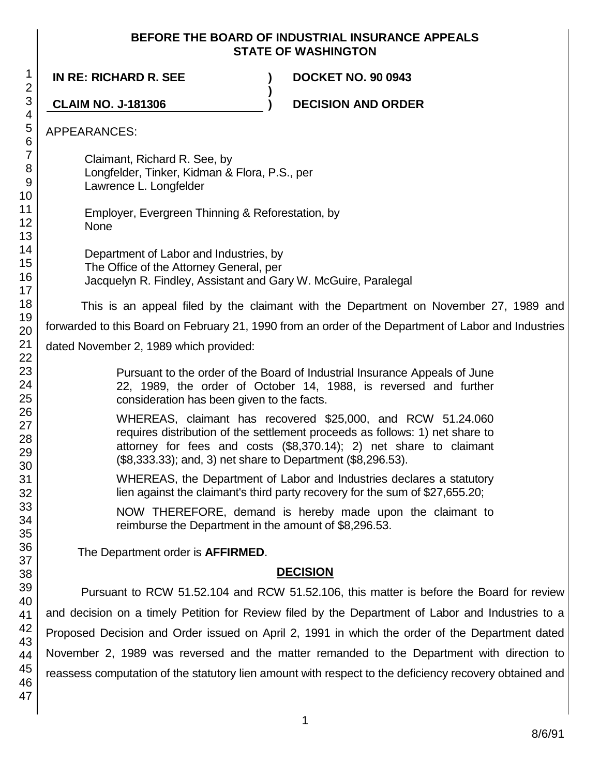## **BEFORE THE BOARD OF INDUSTRIAL INSURANCE APPEALS STATE OF WASHINGTON**

**IN RE: RICHARD R. SEE ) DOCKET NO. 90 0943 ) CLAIM NO. J-181306 ) DECISION AND ORDER** APPEARANCES: Claimant, Richard R. See, by Longfelder, Tinker, Kidman & Flora, P.S., per Lawrence L. Longfelder Employer, Evergreen Thinning & Reforestation, by None Department of Labor and Industries, by The Office of the Attorney General, per Jacquelyn R. Findley, Assistant and Gary W. McGuire, Paralegal This is an appeal filed by the claimant with the Department on November 27, 1989 and forwarded to this Board on February 21, 1990 from an order of the Department of Labor and Industries dated November 2, 1989 which provided: Pursuant to the order of the Board of Industrial Insurance Appeals of June 22, 1989, the order of October 14, 1988, is reversed and further consideration has been given to the facts. WHEREAS, claimant has recovered \$25,000, and RCW 51.24.060 requires distribution of the settlement proceeds as follows: 1) net share to attorney for fees and costs (\$8,370.14); 2) net share to claimant (\$8,333.33); and, 3) net share to Department (\$8,296.53). WHEREAS, the Department of Labor and Industries declares a statutory lien against the claimant's third party recovery for the sum of \$27,655.20; NOW THEREFORE, demand is hereby made upon the claimant to reimburse the Department in the amount of \$8,296.53. The Department order is **AFFIRMED**. **DECISION** Pursuant to RCW 51.52.104 and RCW 51.52.106, this matter is before the Board for review and decision on a timely Petition for Review filed by the Department of Labor and Industries to a Proposed Decision and Order issued on April 2, 1991 in which the order of the Department dated November 2, 1989 was reversed and the matter remanded to the Department with direction to reassess computation of the statutory lien amount with respect to the deficiency recovery obtained and

46 47

1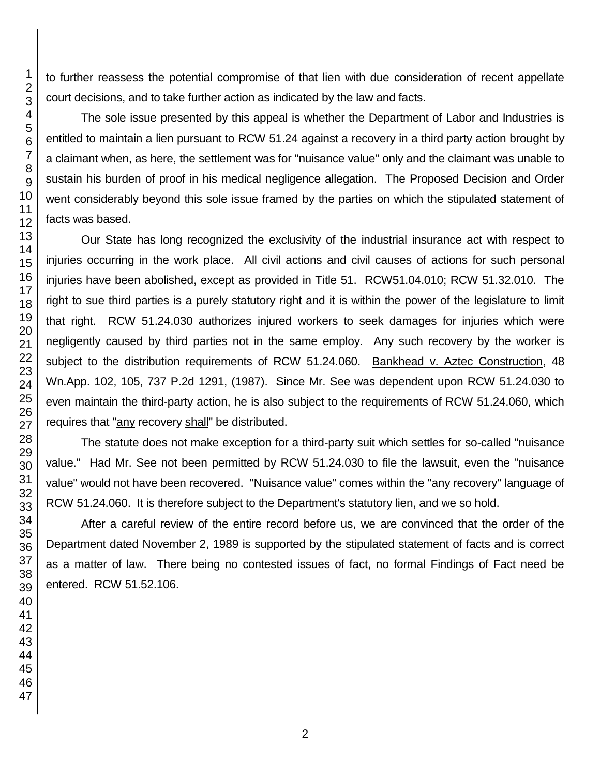to further reassess the potential compromise of that lien with due consideration of recent appellate court decisions, and to take further action as indicated by the law and facts.

The sole issue presented by this appeal is whether the Department of Labor and Industries is entitled to maintain a lien pursuant to RCW 51.24 against a recovery in a third party action brought by a claimant when, as here, the settlement was for "nuisance value" only and the claimant was unable to sustain his burden of proof in his medical negligence allegation. The Proposed Decision and Order went considerably beyond this sole issue framed by the parties on which the stipulated statement of facts was based.

Our State has long recognized the exclusivity of the industrial insurance act with respect to injuries occurring in the work place. All civil actions and civil causes of actions for such personal injuries have been abolished, except as provided in Title 51. RCW51.04.010; RCW 51.32.010. The right to sue third parties is a purely statutory right and it is within the power of the legislature to limit that right. RCW 51.24.030 authorizes injured workers to seek damages for injuries which were negligently caused by third parties not in the same employ. Any such recovery by the worker is subject to the distribution requirements of RCW 51.24.060. Bankhead v. Aztec Construction, 48 Wn.App. 102, 105, 737 P.2d 1291, (1987). Since Mr. See was dependent upon RCW 51.24.030 to even maintain the third-party action, he is also subject to the requirements of RCW 51.24.060, which requires that "any recovery shall" be distributed.

The statute does not make exception for a third-party suit which settles for so-called "nuisance value." Had Mr. See not been permitted by RCW 51.24.030 to file the lawsuit, even the "nuisance value" would not have been recovered. "Nuisance value" comes within the "any recovery" language of RCW 51.24.060. It is therefore subject to the Department's statutory lien, and we so hold.

After a careful review of the entire record before us, we are convinced that the order of the Department dated November 2, 1989 is supported by the stipulated statement of facts and is correct as a matter of law. There being no contested issues of fact, no formal Findings of Fact need be entered. RCW 51.52.106.